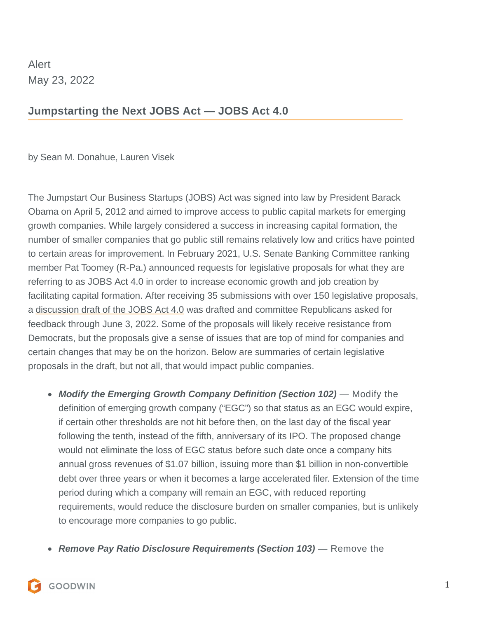Alert May 23, 2022

## **Jumpstarting the Next JOBS Act — JOBS Act 4.0**

by [Sean M. Donahue,](https://www.goodwinlaw.com/professionals/d/donahue-sean) [Lauren Visek](https://www.goodwinlaw.com/professionals/v/visek-lauren)

The Jumpstart Our Business Startups (JOBS) Act was signed into law by President Barack Obama on April 5, 2012 and aimed to improve access to public capital markets for emerging growth companies. While largely considered a success in increasing capital formation, the number of smaller companies that go public still remains relatively low and critics have pointed to certain areas for improvement. In February 2021, U.S. Senate Banking Committee ranking member Pat Toomey (R-Pa.) announced requests for legislative proposals for what they are referring to as JOBS Act 4.0 in order to increase economic growth and job creation by facilitating capital formation. After receiving 35 submissions with over 150 legislative proposals, adiscussion draft of the JOBS Act 4.0 was drafted and committee Republicans asked for feedback through June 3, 2022. Some of the proposals will likely receive resistance from Democrats, but the proposals give a sense of issues that are top of mind for companies and certain changes that may be on the horizon. Below are summaries of certain legislative proposals in the draft, but not all, that would impact public companies.

- **Modify the Emerging Growth Company Definition (Section 102)** Modify the definition of emerging growth company ("EGC") so that status as an EGC would expire, if certain other thresholds are not hit before then, on the last day of the fiscal year following the tenth, instead of the fifth, anniversary of its IPO. The proposed change would not eliminate the loss of EGC status before such date once a company hits annual gross revenues of \$1.07 billion, issuing more than \$1 billion in non-convertible debt over three years or when it becomes a large accelerated filer. Extension of the time period during which a company will remain an EGC, with reduced reporting requirements, would reduce the disclosure burden on smaller companies, but is unlikely to encourage more companies to go public.
- **Remove Pay Ratio Disclosure Requirements (Section 103)** Remove the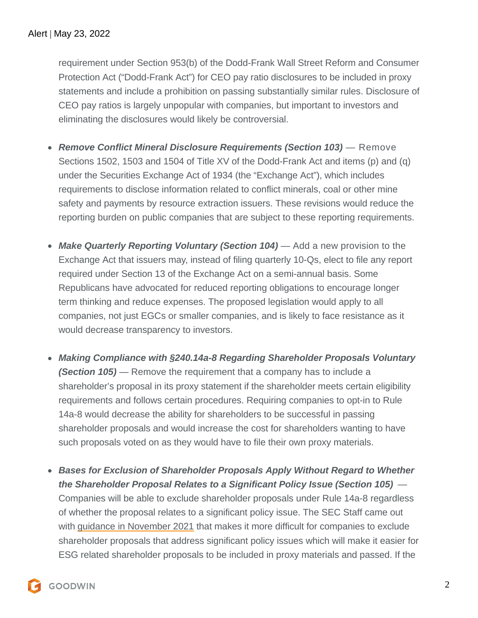requirement under Section 953(b) of the Dodd-Frank Wall Street Reform and Consumer Protection Act ("Dodd-Frank Act") for CEO pay ratio disclosures to be included in proxy statements and include a prohibition on passing substantially similar rules. Disclosure of CEO pay ratios is largely unpopular with companies, but important to investors and eliminating the disclosures would likely be controversial.

- **Remove Conflict Mineral Disclosure Requirements (Section 103)** Remove Sections 1502, 1503 and 1504 of Title XV of the Dodd-Frank Act and items (p) and (q) under the Securities Exchange Act of 1934 (the "Exchange Act"), which includes requirements to disclose information related to conflict minerals, coal or other mine safety and payments by resource extraction issuers. These revisions would reduce the reporting burden on public companies that are subject to these reporting requirements.
- **Make Quarterly Reporting Voluntary (Section 104)** Add a new provision to the Exchange Act that issuers may, instead of filing quarterly 10-Qs, elect to file any report required under Section 13 of the Exchange Act on a semi-annual basis. Some Republicans have advocated for reduced reporting obligations to encourage longer term thinking and reduce expenses. The proposed legislation would apply to all companies, not just EGCs or smaller companies, and is likely to face resistance as it would decrease transparency to investors.
- **Making Compliance with §240.14a-8 Regarding Shareholder Proposals Voluntary (Section 105)** — Remove the requirement that a company has to include a shareholder's proposal in its proxy statement if the shareholder meets certain eligibility requirements and follows certain procedures. Requiring companies to opt-in to Rule 14a-8 would decrease the ability for shareholders to be successful in passing shareholder proposals and would increase the cost for shareholders wanting to have such proposals voted on as they would have to file their own proxy materials.
- **Bases for Exclusion of Shareholder Proposals Apply Without Regard to Whether the Shareholder Proposal Relates to a Significant Policy Issue (Section 105)** — Companies will be able to exclude shareholder proposals under Rule 14a-8 regardless of whether the proposal relates to a significant policy issue. The SEC Staff came out withguidance in November 2021 that makes it more difficult for companies to exclude shareholder proposals that address significant policy issues which will make it easier for ESG related shareholder proposals to be included in proxy materials and passed. If the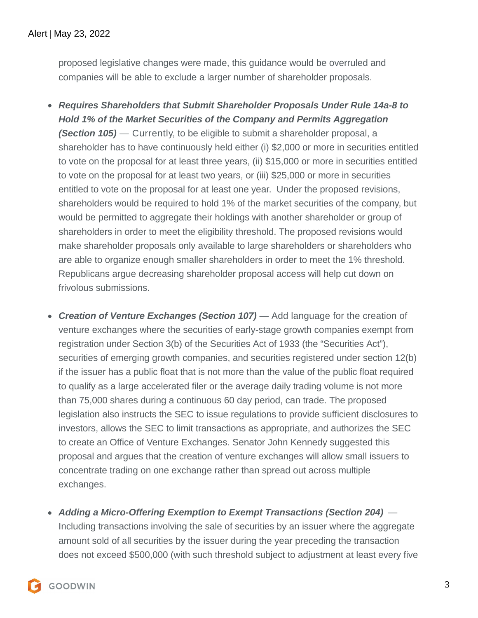proposed legislative changes were made, this guidance would be overruled and companies will be able to exclude a larger number of shareholder proposals.

- **Requires Shareholders that Submit Shareholder Proposals Under Rule 14a-8 to Hold 1% of the Market Securities of the Company and Permits Aggregation (Section 105)** — Currently, to be eligible to submit a shareholder proposal, a shareholder has to have continuously held either (i) \$2,000 or more in securities entitled to vote on the proposal for at least three years, (ii) \$15,000 or more in securities entitled to vote on the proposal for at least two years, or (iii) \$25,000 or more in securities entitled to vote on the proposal for at least one year. Under the proposed revisions, shareholders would be required to hold 1% of the market securities of the company, but would be permitted to aggregate their holdings with another shareholder or group of shareholders in order to meet the eligibility threshold. The proposed revisions would make shareholder proposals only available to large shareholders or shareholders who are able to organize enough smaller shareholders in order to meet the 1% threshold. Republicans argue decreasing shareholder proposal access will help cut down on frivolous submissions.
- **Creation of Venture Exchanges (Section 107)** Add language for the creation of venture exchanges where the securities of early-stage growth companies exempt from registration under Section 3(b) of the Securities Act of 1933 (the "Securities Act"), securities of emerging growth companies, and securities registered under section 12(b) if the issuer has a public float that is not more than the value of the public float required to qualify as a large accelerated filer or the average daily trading volume is not more than 75,000 shares during a continuous 60 day period, can trade. The proposed legislation also instructs the SEC to issue regulations to provide sufficient disclosures to investors, allows the SEC to limit transactions as appropriate, and authorizes the SEC to create an Office of Venture Exchanges. Senator John Kennedy suggested this proposal and argues that the creation of venture exchanges will allow small issuers to concentrate trading on one exchange rather than spread out across multiple exchanges.
- **Adding a Micro-Offering Exemption to Exempt Transactions (Section 204)** Including transactions involving the sale of securities by an issuer where the aggregate amount sold of all securities by the issuer during the year preceding the transaction does not exceed \$500,000 (with such threshold subject to adjustment at least every five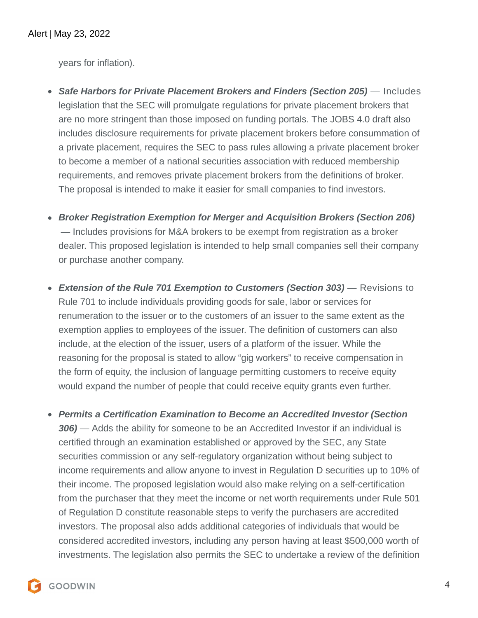years for inflation).

- **Safe Harbors for Private Placement Brokers and Finders (Section 205)** Includes legislation that the SEC will promulgate regulations for private placement brokers that are no more stringent than those imposed on funding portals. The JOBS 4.0 draft also includes disclosure requirements for private placement brokers before consummation of a private placement, requires the SEC to pass rules allowing a private placement broker to become a member of a national securities association with reduced membership requirements, and removes private placement brokers from the definitions of broker. The proposal is intended to make it easier for small companies to find investors.
- **Broker Registration Exemption for Merger and Acquisition Brokers (Section 206)** — Includes provisions for M&A brokers to be exempt from registration as a broker dealer. This proposed legislation is intended to help small companies sell their company or purchase another company.
- **Extension of the Rule 701 Exemption to Customers (Section 303)** Revisions to Rule 701 to include individuals providing goods for sale, labor or services for renumeration to the issuer or to the customers of an issuer to the same extent as the exemption applies to employees of the issuer. The definition of customers can also include, at the election of the issuer, users of a platform of the issuer. While the reasoning for the proposal is stated to allow "gig workers" to receive compensation in the form of equity, the inclusion of language permitting customers to receive equity would expand the number of people that could receive equity grants even further.
- **Permits a Certification Examination to Become an Accredited Investor (Section 306)** — Adds the ability for someone to be an Accredited Investor if an individual is certified through an examination established or approved by the SEC, any State securities commission or any self-regulatory organization without being subject to income requirements and allow anyone to invest in Regulation D securities up to 10% of their income. The proposed legislation would also make relying on a self-certification from the purchaser that they meet the income or net worth requirements under Rule 501 of Regulation D constitute reasonable steps to verify the purchasers are accredited investors. The proposal also adds additional categories of individuals that would be considered accredited investors, including any person having at least \$500,000 worth of investments. The legislation also permits the SEC to undertake a review of the definition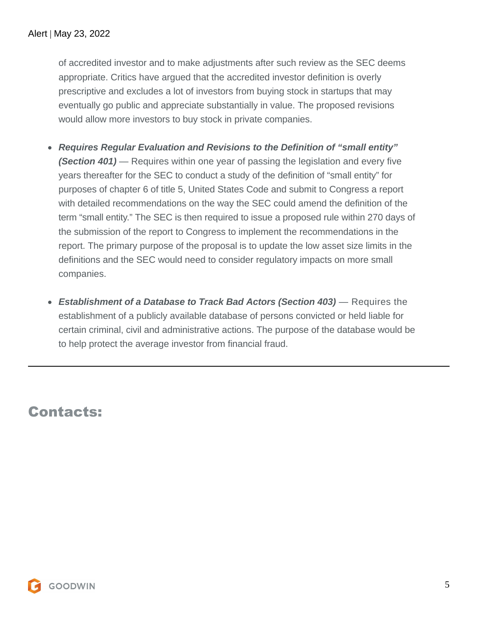of accredited investor and to make adjustments after such review as the SEC deems appropriate. Critics have argued that the accredited investor definition is overly prescriptive and excludes a lot of investors from buying stock in startups that may eventually go public and appreciate substantially in value. The proposed revisions would allow more investors to buy stock in private companies.

- **Requires Regular Evaluation and Revisions to the Definition of "small entity" (Section 401)** — Requires within one year of passing the legislation and every five years thereafter for the SEC to conduct a study of the definition of "small entity" for purposes of chapter 6 of title 5, United States Code and submit to Congress a report with detailed recommendations on the way the SEC could amend the definition of the term "small entity." The SEC is then required to issue a proposed rule within 270 days of the submission of the report to Congress to implement the recommendations in the report. The primary purpose of the proposal is to update the low asset size limits in the definitions and the SEC would need to consider regulatory impacts on more small companies.
- **Establishment of a Database to Track Bad Actors (Section 403)** Requires the establishment of a publicly available database of persons convicted or held liable for certain criminal, civil and administrative actions. The purpose of the database would be to help protect the average investor from financial fraud.

## Contacts: